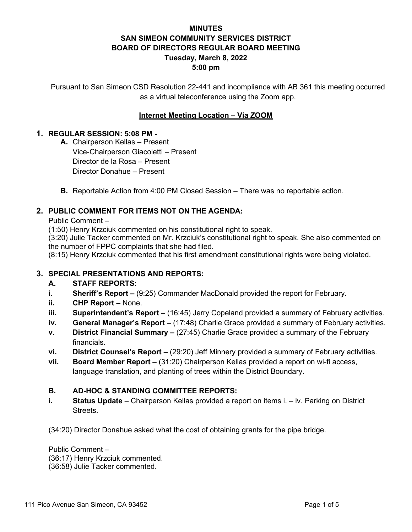# **MINUTES SAN SIMEON COMMUNITY SERVICES DISTRICT BOARD OF DIRECTORS REGULAR BOARD MEETING Tuesday, March 8, 2022 5:00 pm**

Pursuant to San Simeon CSD Resolution 22-441 and incompliance with AB 361 this meeting occurred as a virtual teleconference using the Zoom app.

# **Internet Meeting Location – Via ZOOM**

## **1. REGULAR SESSION: 5:08 PM -**

- **A.** Chairperson Kellas Present Vice-Chairperson Giacoletti – Present Director de la Rosa – Present Director Donahue – Present
- **B.** Reportable Action from 4:00 PM Closed Session There was no reportable action.

# **2. PUBLIC COMMENT FOR ITEMS NOT ON THE AGENDA:**

Public Comment –

(1:50) Henry Krzciuk commented on his constitutional right to speak.

(3:20) Julie Tacker commented on Mr. Krzciuk's constitutional right to speak. She also commented on the number of FPPC complaints that she had filed.

(8:15) Henry Krzciuk commented that his first amendment constitutional rights were being violated.

# **3. SPECIAL PRESENTATIONS AND REPORTS:**

# **A. STAFF REPORTS:**

- **i. Sheriff's Report** (9:25) Commander MacDonald provided the report for February.
- **ii. CHP Report** None.
- **iii.** Superintendent's Report (16:45) Jerry Copeland provided a summary of February activities.
- **iv. General Manager's Report** (17:48) Charlie Grace provided a summary of February activities.
- **v. District Financial Summary –** (27:45) Charlie Grace provided a summary of the February financials.
- **vi. District Counsel's Report** (29:20) Jeff Minnery provided a summary of February activities.
- **vii. Board Member Report –** (31:20) Chairperson Kellas provided a report on wi-fi access, language translation, and planting of trees within the District Boundary.

# **B. AD-HOC & STANDING COMMITTEE REPORTS:**

**i. Status Update** – Chairperson Kellas provided a report on items i. – iv. Parking on District Streets.

(34:20) Director Donahue asked what the cost of obtaining grants for the pipe bridge.

Public Comment –

(36:17) Henry Krzciuk commented.

(36:58) Julie Tacker commented.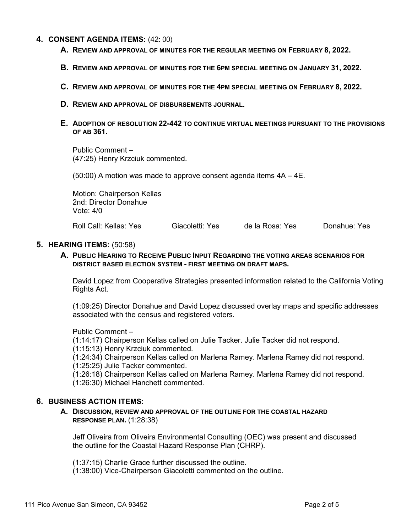## **4. CONSENT AGENDA ITEMS:** (42: 00)

- **A. REVIEW AND APPROVAL OF MINUTES FOR THE REGULAR MEETING ON FEBRUARY 8, 2022.**
- **B. REVIEW AND APPROVAL OF MINUTES FOR THE 6PM SPECIAL MEETING ON JANUARY 31, 2022.**
- **C. REVIEW AND APPROVAL OF MINUTES FOR THE 4PM SPECIAL MEETING ON FEBRUARY 8, 2022.**
- **D. REVIEW AND APPROVAL OF DISBURSEMENTS JOURNAL.**

## **E. ADOPTION OF RESOLUTION 22-442 TO CONTINUE VIRTUAL MEETINGS PURSUANT TO THE PROVISIONS OF AB 361.**

Public Comment – (47:25) Henry Krzciuk commented.

(50:00) A motion was made to approve consent agenda items 4A – 4E.

Motion: Chairperson Kellas 2nd: Director Donahue Vote: 4/0

Roll Call: Kellas: Yes Giacoletti: Yes de la Rosa: Yes Donahue: Yes

#### **5. HEARING ITEMS:** (50:58)

### **A. PUBLIC HEARING TO RECEIVE PUBLIC INPUT REGARDING THE VOTING AREAS SCENARIOS FOR DISTRICT BASED ELECTION SYSTEM - FIRST MEETING ON DRAFT MAPS.**

David Lopez from Cooperative Strategies presented information related to the California Voting Rights Act.

(1:09:25) Director Donahue and David Lopez discussed overlay maps and specific addresses associated with the census and registered voters.

Public Comment –

(1:14:17) Chairperson Kellas called on Julie Tacker. Julie Tacker did not respond.

(1:15:13) Henry Krzciuk commented.

(1:24:34) Chairperson Kellas called on Marlena Ramey. Marlena Ramey did not respond.

(1:25:25) Julie Tacker commented.

(1:26:18) Chairperson Kellas called on Marlena Ramey. Marlena Ramey did not respond.

(1:26:30) Michael Hanchett commented.

### **6. BUSINESS ACTION ITEMS:**

#### **A. DISCUSSION, REVIEW AND APPROVAL OF THE OUTLINE FOR THE COASTAL HAZARD RESPONSE PLAN.** (1:28:38)

Jeff Oliveira from Oliveira Environmental Consulting (OEC) was present and discussed the outline for the Coastal Hazard Response Plan (CHRP).

(1:37:15) Charlie Grace further discussed the outline.

(1:38:00) Vice-Chairperson Giacoletti commented on the outline.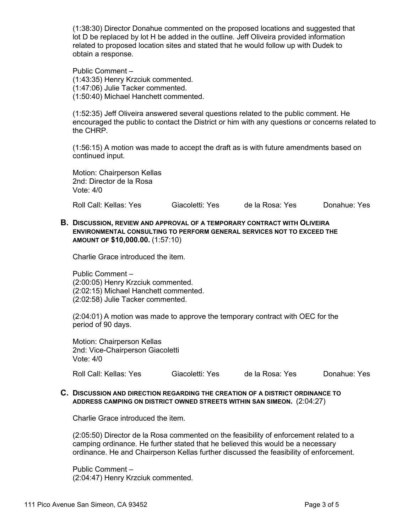(1:38:30) Director Donahue commented on the proposed locations and suggested that lot D be replaced by lot H be added in the outline. Jeff Oliveira provided information related to proposed location sites and stated that he would follow up with Dudek to obtain a response.

Public Comment – (1:43:35) Henry Krzciuk commented. (1:47:06) Julie Tacker commented. (1:50:40) Michael Hanchett commented.

(1:52:35) Jeff Oliveira answered several questions related to the public comment. He encouraged the public to contact the District or him with any questions or concerns related to the CHRP.

(1:56:15) A motion was made to accept the draft as is with future amendments based on continued input.

Motion: Chairperson Kellas 2nd: Director de la Rosa Vote: 4/0

Roll Call: Kellas: Yes Giacoletti: Yes de la Rosa: Yes Donahue: Yes

**B. DISCUSSION, REVIEW AND APPROVAL OF A TEMPORARY CONTRACT WITH OLIVEIRA ENVIRONMENTAL CONSULTING TO PERFORM GENERAL SERVICES NOT TO EXCEED THE AMOUNT OF \$10,000.00.** (1:57:10)

Charlie Grace introduced the item.

Public Comment – (2:00:05) Henry Krzciuk commented. (2:02:15) Michael Hanchett commented. (2:02:58) Julie Tacker commented.

(2:04:01) A motion was made to approve the temporary contract with OEC for the period of 90 days.

Motion: Chairperson Kellas 2nd: Vice-Chairperson Giacoletti Vote: 4/0

Roll Call: Kellas: Yes Giacoletti: Yes de la Rosa: Yes Donahue: Yes

## **C. DISCUSSION AND DIRECTION REGARDING THE CREATION OF A DISTRICT ORDINANCE TO ADDRESS CAMPING ON DISTRICT OWNED STREETS WITHIN SAN SIMEON.** (2:04:27)

Charlie Grace introduced the item.

(2:05:50) Director de la Rosa commented on the feasibility of enforcement related to a camping ordinance. He further stated that he believed this would be a necessary ordinance. He and Chairperson Kellas further discussed the feasibility of enforcement.

Public Comment – (2:04:47) Henry Krzciuk commented.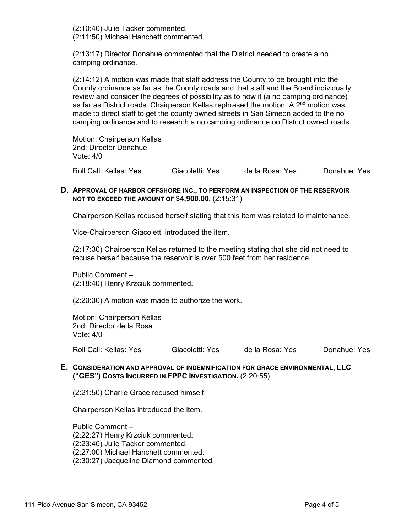(2:10:40) Julie Tacker commented. (2:11:50) Michael Hanchett commented.

(2:13:17) Director Donahue commented that the District needed to create a no camping ordinance.

(2:14:12) A motion was made that staff address the County to be brought into the County ordinance as far as the County roads and that staff and the Board individually review and consider the degrees of possibility as to how it (a no camping ordinance) as far as District roads. Chairperson Kellas rephrased the motion. A  $2<sup>nd</sup>$  motion was made to direct staff to get the county owned streets in San Simeon added to the no camping ordinance and to research a no camping ordinance on District owned roads.

Motion: Chairperson Kellas 2nd: Director Donahue Vote: 4/0

Roll Call: Kellas: Yes Giacoletti: Yes de la Rosa: Yes Donahue: Yes

### **D. APPROVAL OF HARBOR OFFSHORE INC., TO PERFORM AN INSPECTION OF THE RESERVOIR NOT TO EXCEED THE AMOUNT OF \$4,900.00.** (2:15:31)

Chairperson Kellas recused herself stating that this item was related to maintenance.

Vice-Chairperson Giacoletti introduced the item.

(2:17:30) Chairperson Kellas returned to the meeting stating that she did not need to recuse herself because the reservoir is over 500 feet from her residence.

Public Comment – (2:18:40) Henry Krzciuk commented.

(2:20:30) A motion was made to authorize the work.

Motion: Chairperson Kellas 2nd: Director de la Rosa Vote: 4/0

Roll Call: Kellas: Yes Giacoletti: Yes de la Rosa: Yes Donahue: Yes

### **E. CONSIDERATION AND APPROVAL OF INDEMNIFICATION FOR GRACE ENVIRONMENTAL, LLC ("GES") COSTS INCURRED IN FPPC INVESTIGATION.** (2:20:55)

(2:21:50) Charlie Grace recused himself.

Chairperson Kellas introduced the item.

Public Comment – (2:22:27) Henry Krzciuk commented. (2:23:40) Julie Tacker commented. (2:27:00) Michael Hanchett commented. (2:30:27) Jacqueline Diamond commented.